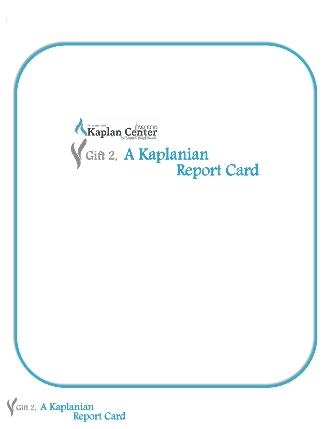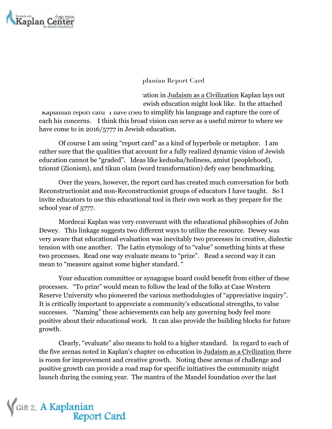

planian Report Card

extion in Judaism as a Civilization Kaplan lays out ewish education might look like. In the attached

Kaplanian report card 1 have tried to simplify his language and capture the core of each his concerns. I think this broad vision can serve as a useful mirror to where we have come to in 2016/5777 in Jewish education.

Of course I am using "report card" as a kind of hyperbole or metaphor. I am rather sure that the qualities that account for a fully realized dynamic vision of Jewish education cannot be "graded". Ideas like kedusha/holiness, amiut (peoplehood), tzionut (Zionism), and tikun olam (word transformation) defy easy benchmarking.

Over the years, however, the report card has created much conversation for both Reconstructionist and non-Reconstructionist groups of educators I have taught. So I invite educators to use this educational tool in their own work as they prepare for the school year of 5777.

Mordecai Kaplan was very conversant with the educational philosophies of John Dewey. This linkage suggests two different ways to utilize the resource. Dewey was very aware that educational evaluation was inevitably two processes in creative, dialectic tension with one another. The Latin etymology of to "value" something hints at these two processes. Read one way evaluate means to "prize". Read a second way it can mean to "measure against some higher standard. "

Your education committee or synagogue board could benefit from either of these processes. "To prize" would mean to follow the lead of the folks at Case Western Reserve University who pioneered the various methodologies of "appreciative inquiry". It is critically important to appreciate a community's educational strengths, to value successes. "Naming" these achievements can help any governing body feel more positive about their educational work. It can also provide the building blocks for future growth.

Clearly, "evaluate" also means to hold to a higher standard. In regard to each of the five arenas noted in Kaplan's chapter on education in Judaism as a Civilization there is room for improvement and creative growth. Noting these arenas of challenge and positive growth can provide a road map for specific initiatives the community might launch during the coming year. The mantra of the Mandel foundation over the last

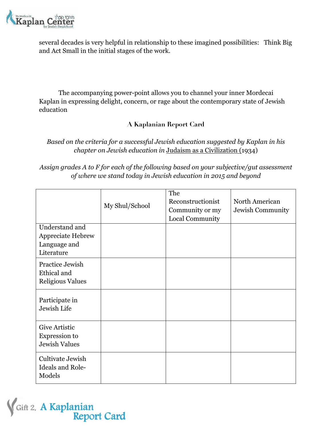

several decades is very helpful in relationship to these imagined possibilities: Think Big and Act Small in the initial stages of the work.

The accompanying power-point allows you to channel your inner Mordecai Kaplan in expressing delight, concern, or rage about the contemporary state of Jewish education

## **A Kaplanian Report Card**

## *Based on the criteria for a successful Jewish education suggested by Kaplan in his chapter on Jewish education in* Judaism as a Civilization (1934)

*Assign grades A to F for each of the following based on your subjective/gut assessment of where we stand today in Jewish education in 2015 and beyond*

|                         |                | The               |                  |
|-------------------------|----------------|-------------------|------------------|
|                         | My Shul/School | Reconstructionist | North American   |
|                         |                | Community or my   | Jewish Community |
|                         |                | Local Community   |                  |
| Understand and          |                |                   |                  |
| Appreciate Hebrew       |                |                   |                  |
| Language and            |                |                   |                  |
| Literature              |                |                   |                  |
| Practice Jewish         |                |                   |                  |
| Ethical and             |                |                   |                  |
| <b>Religious Values</b> |                |                   |                  |
|                         |                |                   |                  |
| Participate in          |                |                   |                  |
| Jewish Life             |                |                   |                  |
|                         |                |                   |                  |
| <b>Give Artistic</b>    |                |                   |                  |
| Expression to           |                |                   |                  |
| <b>Jewish Values</b>    |                |                   |                  |
|                         |                |                   |                  |
| Cultivate Jewish        |                |                   |                  |
| <b>Ideals and Role-</b> |                |                   |                  |
| Models                  |                |                   |                  |